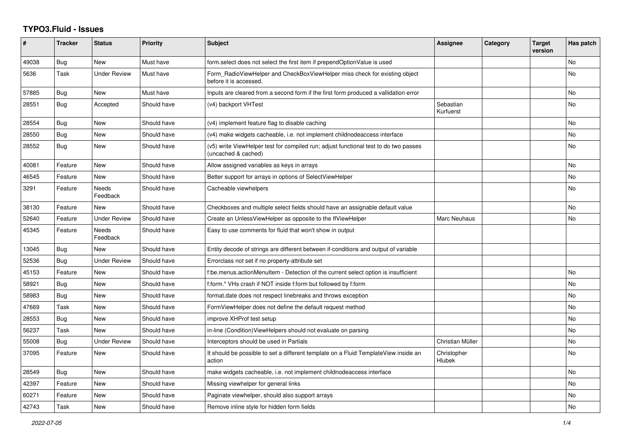## **TYPO3.Fluid - Issues**

| #     | <b>Tracker</b> | <b>Status</b>       | Priority    | <b>Subject</b>                                                                                              | <b>Assignee</b>        | Category | <b>Target</b><br>version | Has patch |
|-------|----------------|---------------------|-------------|-------------------------------------------------------------------------------------------------------------|------------------------|----------|--------------------------|-----------|
| 49038 | Bug            | <b>New</b>          | Must have   | form.select does not select the first item if prependOptionValue is used                                    |                        |          |                          | <b>No</b> |
| 5636  | Task           | <b>Under Review</b> | Must have   | Form_RadioViewHelper and CheckBoxViewHelper miss check for existing object<br>before it is accessed.        |                        |          |                          | <b>No</b> |
| 57885 | Bug            | New                 | Must have   | Inputs are cleared from a second form if the first form produced a vallidation error                        |                        |          |                          | No        |
| 28551 | Bug            | Accepted            | Should have | (v4) backport VHTest                                                                                        | Sebastian<br>Kurfuerst |          |                          | <b>No</b> |
| 28554 | Bug            | New                 | Should have | (v4) implement feature flag to disable caching                                                              |                        |          |                          | <b>No</b> |
| 28550 | <b>Bug</b>     | New                 | Should have | (v4) make widgets cacheable, i.e. not implement childnodeaccess interface                                   |                        |          |                          | <b>No</b> |
| 28552 | Bug            | <b>New</b>          | Should have | (v5) write ViewHelper test for compiled run; adjust functional test to do two passes<br>(uncached & cached) |                        |          |                          | <b>No</b> |
| 40081 | Feature        | <b>New</b>          | Should have | Allow assigned variables as keys in arrays                                                                  |                        |          |                          | No        |
| 46545 | Feature        | New                 | Should have | Better support for arrays in options of SelectViewHelper                                                    |                        |          |                          | No        |
| 3291  | Feature        | Needs<br>Feedback   | Should have | Cacheable viewhelpers                                                                                       |                        |          |                          | No        |
| 38130 | Feature        | <b>New</b>          | Should have | Checkboxes and multiple select fields should have an assignable default value                               |                        |          |                          | <b>No</b> |
| 52640 | Feature        | <b>Under Review</b> | Should have | Create an UnlessViewHelper as opposite to the IfViewHelper                                                  | Marc Neuhaus           |          |                          | No        |
| 45345 | Feature        | Needs<br>Feedback   | Should have | Easy to use comments for fluid that won't show in output                                                    |                        |          |                          |           |
| 13045 | Bug            | <b>New</b>          | Should have | Entity decode of strings are different between if-conditions and output of variable                         |                        |          |                          |           |
| 52536 | Bug            | <b>Under Review</b> | Should have | Errorclass not set if no property-attribute set                                                             |                        |          |                          |           |
| 45153 | Feature        | New                 | Should have | f:be.menus.actionMenuItem - Detection of the current select option is insufficient                          |                        |          |                          | No        |
| 58921 | Bug            | <b>New</b>          | Should have | f:form.* VHs crash if NOT inside f:form but followed by f:form                                              |                        |          |                          | <b>No</b> |
| 58983 | Bug            | New                 | Should have | format.date does not respect linebreaks and throws exception                                                |                        |          |                          | <b>No</b> |
| 47669 | Task           | New                 | Should have | FormViewHelper does not define the default request method                                                   |                        |          |                          | <b>No</b> |
| 28553 | Bug            | <b>New</b>          | Should have | improve XHProf test setup                                                                                   |                        |          |                          | No        |
| 56237 | Task           | <b>New</b>          | Should have | in-line (Condition) View Helpers should not evaluate on parsing                                             |                        |          |                          | <b>No</b> |
| 55008 | Bug            | <b>Under Review</b> | Should have | Interceptors should be used in Partials                                                                     | Christian Müller       |          |                          | <b>No</b> |
| 37095 | Feature        | New                 | Should have | It should be possible to set a different template on a Fluid TemplateView inside an<br>action               | Christopher<br>Hlubek  |          |                          | No        |
| 28549 | Bug            | <b>New</b>          | Should have | make widgets cacheable, i.e. not implement childnodeaccess interface                                        |                        |          |                          | <b>No</b> |
| 42397 | Feature        | New                 | Should have | Missing viewhelper for general links                                                                        |                        |          |                          | <b>No</b> |
| 60271 | Feature        | New                 | Should have | Paginate viewhelper, should also support arrays                                                             |                        |          |                          | No        |
| 42743 | Task           | New                 | Should have | Remove inline style for hidden form fields                                                                  |                        |          |                          | <b>No</b> |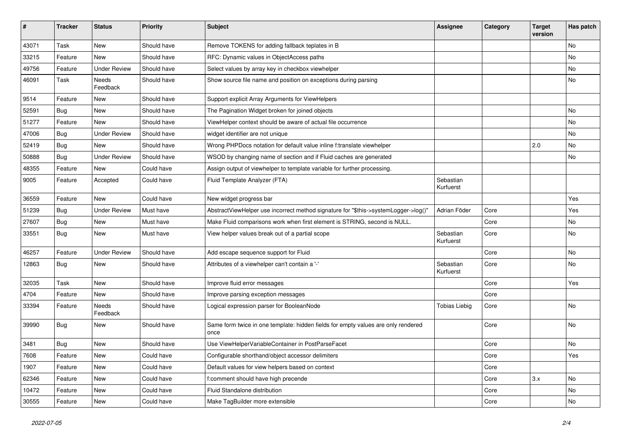| #     | <b>Tracker</b> | <b>Status</b>            | <b>Priority</b> | <b>Subject</b>                                                                            | <b>Assignee</b>        | Category | <b>Target</b><br>version | Has patch |
|-------|----------------|--------------------------|-----------------|-------------------------------------------------------------------------------------------|------------------------|----------|--------------------------|-----------|
| 43071 | Task           | New                      | Should have     | Remove TOKENS for adding fallback teplates in B                                           |                        |          |                          | <b>No</b> |
| 33215 | Feature        | New                      | Should have     | RFC: Dynamic values in ObjectAccess paths                                                 |                        |          |                          | No        |
| 49756 | Feature        | <b>Under Review</b>      | Should have     | Select values by array key in checkbox viewhelper                                         |                        |          |                          | No        |
| 46091 | Task           | <b>Needs</b><br>Feedback | Should have     | Show source file name and position on exceptions during parsing                           |                        |          |                          | No        |
| 9514  | Feature        | <b>New</b>               | Should have     | Support explicit Array Arguments for ViewHelpers                                          |                        |          |                          |           |
| 52591 | Bug            | New                      | Should have     | The Pagination Widget broken for joined objects                                           |                        |          |                          | No        |
| 51277 | Feature        | <b>New</b>               | Should have     | ViewHelper context should be aware of actual file occurrence                              |                        |          |                          | No        |
| 47006 | Bug            | <b>Under Review</b>      | Should have     | widget identifier are not unique                                                          |                        |          |                          | No        |
| 52419 | Bug            | <b>New</b>               | Should have     | Wrong PHPDocs notation for default value inline f:translate viewhelper                    |                        |          | 2.0                      | No        |
| 50888 | Bug            | <b>Under Review</b>      | Should have     | WSOD by changing name of section and if Fluid caches are generated                        |                        |          |                          | No        |
| 48355 | Feature        | New                      | Could have      | Assign output of viewhelper to template variable for further processing.                  |                        |          |                          |           |
| 9005  | Feature        | Accepted                 | Could have      | Fluid Template Analyzer (FTA)                                                             | Sebastian<br>Kurfuerst |          |                          |           |
| 36559 | Feature        | <b>New</b>               | Could have      | New widget progress bar                                                                   |                        |          |                          | Yes       |
| 51239 | Bug            | <b>Under Review</b>      | Must have       | AbstractViewHelper use incorrect method signature for "\$this->systemLogger->log()"       | Adrian Föder           | Core     |                          | Yes       |
| 27607 | Bug            | New                      | Must have       | Make Fluid comparisons work when first element is STRING, second is NULL.                 |                        | Core     |                          | No        |
| 33551 | Bug            | New                      | Must have       | View helper values break out of a partial scope                                           | Sebastian<br>Kurfuerst | Core     |                          | No        |
| 46257 | Feature        | <b>Under Review</b>      | Should have     | Add escape sequence support for Fluid                                                     |                        | Core     |                          | No        |
| 12863 | Bug            | New                      | Should have     | Attributes of a viewhelper can't contain a '-'                                            | Sebastian<br>Kurfuerst | Core     |                          | <b>No</b> |
| 32035 | Task           | New                      | Should have     | Improve fluid error messages                                                              |                        | Core     |                          | Yes       |
| 4704  | Feature        | New                      | Should have     | Improve parsing exception messages                                                        |                        | Core     |                          |           |
| 33394 | Feature        | Needs<br>Feedback        | Should have     | Logical expression parser for BooleanNode                                                 | <b>Tobias Liebig</b>   | Core     |                          | <b>No</b> |
| 39990 | Bug            | New                      | Should have     | Same form twice in one template: hidden fields for empty values are only rendered<br>once |                        | Core     |                          | <b>No</b> |
| 3481  | Bug            | New                      | Should have     | Use ViewHelperVariableContainer in PostParseFacet                                         |                        | Core     |                          | No        |
| 7608  | Feature        | New                      | Could have      | Configurable shorthand/object accessor delimiters                                         |                        | Core     |                          | Yes       |
| 1907  | Feature        | New                      | Could have      | Default values for view helpers based on context                                          |                        | Core     |                          |           |
| 62346 | Feature        | New                      | Could have      | f:comment should have high precende                                                       |                        | Core     | 3.x                      | No        |
| 10472 | Feature        | New                      | Could have      | Fluid Standalone distribution                                                             |                        | Core     |                          | No        |
| 30555 | Feature        | New                      | Could have      | Make TagBuilder more extensible                                                           |                        | Core     |                          | No        |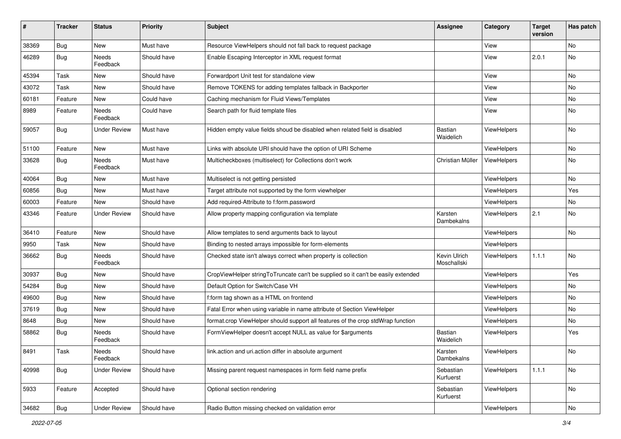| #     | <b>Tracker</b> | <b>Status</b>       | <b>Priority</b> | Subject                                                                          | <b>Assignee</b>             | Category           | <b>Target</b><br>version | Has patch |
|-------|----------------|---------------------|-----------------|----------------------------------------------------------------------------------|-----------------------------|--------------------|--------------------------|-----------|
| 38369 | Bug            | New                 | Must have       | Resource ViewHelpers should not fall back to request package                     |                             | View               |                          | <b>No</b> |
| 46289 | Bug            | Needs<br>Feedback   | Should have     | Enable Escaping Interceptor in XML request format                                |                             | View               | 2.0.1                    | No        |
| 45394 | Task           | New                 | Should have     | Forwardport Unit test for standalone view                                        |                             | View               |                          | <b>No</b> |
| 43072 | Task           | New                 | Should have     | Remove TOKENS for adding templates fallback in Backporter                        |                             | View               |                          | No        |
| 60181 | Feature        | New                 | Could have      | Caching mechanism for Fluid Views/Templates                                      |                             | View               |                          | No        |
| 8989  | Feature        | Needs<br>Feedback   | Could have      | Search path for fluid template files                                             |                             | View               |                          | No        |
| 59057 | Bug            | Under Review        | Must have       | Hidden empty value fields shoud be disabled when related field is disabled       | <b>Bastian</b><br>Waidelich | ViewHelpers        |                          | No        |
| 51100 | Feature        | New                 | Must have       | Links with absolute URI should have the option of URI Scheme                     |                             | ViewHelpers        |                          | No        |
| 33628 | Bug            | Needs<br>Feedback   | Must have       | Multicheckboxes (multiselect) for Collections don't work                         | Christian Müller            | ViewHelpers        |                          | No        |
| 40064 | Bug            | New                 | Must have       | Multiselect is not getting persisted                                             |                             | ViewHelpers        |                          | No        |
| 60856 | Bug            | New                 | Must have       | Target attribute not supported by the form viewhelper                            |                             | ViewHelpers        |                          | Yes       |
| 60003 | Feature        | New                 | Should have     | Add required-Attribute to f:form.password                                        |                             | ViewHelpers        |                          | No        |
| 43346 | Feature        | <b>Under Review</b> | Should have     | Allow property mapping configuration via template                                | Karsten<br>Dambekalns       | ViewHelpers        | 2.1                      | No        |
| 36410 | Feature        | New                 | Should have     | Allow templates to send arguments back to layout                                 |                             | ViewHelpers        |                          | No        |
| 9950  | Task           | New                 | Should have     | Binding to nested arrays impossible for form-elements                            |                             | ViewHelpers        |                          |           |
| 36662 | Bug            | Needs<br>Feedback   | Should have     | Checked state isn't always correct when property is collection                   | Kevin Ulrich<br>Moschallski | <b>ViewHelpers</b> | 1.1.1                    | No        |
| 30937 | Bug            | New                 | Should have     | CropViewHelper stringToTruncate can't be supplied so it can't be easily extended |                             | ViewHelpers        |                          | Yes       |
| 54284 | Bug            | New                 | Should have     | Default Option for Switch/Case VH                                                |                             | ViewHelpers        |                          | No        |
| 49600 | Bug            | New                 | Should have     | f:form tag shown as a HTML on frontend                                           |                             | ViewHelpers        |                          | No        |
| 37619 | Bug            | New                 | Should have     | Fatal Error when using variable in name attribute of Section ViewHelper          |                             | ViewHelpers        |                          | No        |
| 8648  | Bug            | New                 | Should have     | format.crop ViewHelper should support all features of the crop stdWrap function  |                             | ViewHelpers        |                          | No        |
| 58862 | Bug            | Needs<br>Feedback   | Should have     | FormViewHelper doesn't accept NULL as value for \$arguments                      | <b>Bastian</b><br>Waidelich | ViewHelpers        |                          | Yes       |
| 8491  | Task           | Needs<br>Feedback   | Should have     | link.action and uri.action differ in absolute argument                           | Karsten<br>Dambekalns       | ViewHelpers        |                          | No        |
| 40998 | Bug            | <b>Under Review</b> | Should have     | Missing parent request namespaces in form field name prefix                      | Sebastian<br>Kurfuerst      | ViewHelpers        | 1.1.1                    | No        |
| 5933  | Feature        | Accepted            | Should have     | Optional section rendering                                                       | Sebastian<br>Kurfuerst      | ViewHelpers        |                          | No        |
| 34682 | Bug            | <b>Under Review</b> | Should have     | Radio Button missing checked on validation error                                 |                             | ViewHelpers        |                          | No        |